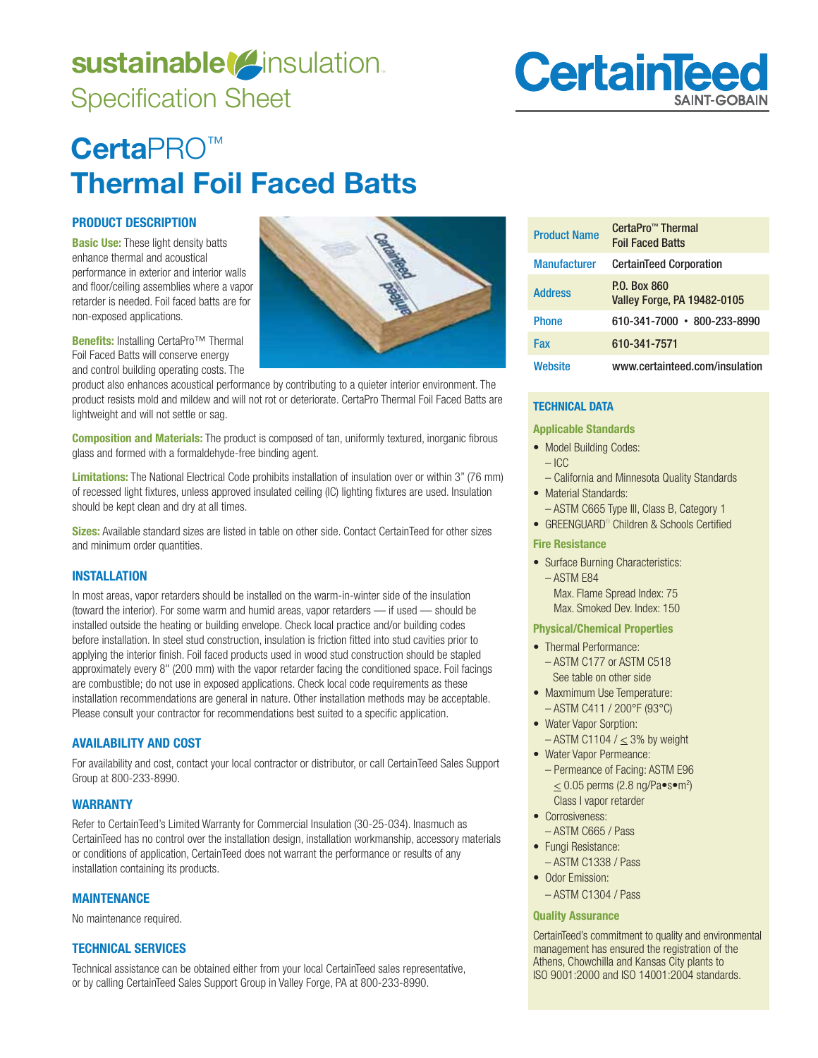# sustainable<sup>(2</sup>insulation. Specification Sheet

# **Certa**PRO™ **Thermal Foil Faced Batts**

# **PRODUCT DESCRIPTION**

**Basic Use:** These light density batts enhance thermal and acoustical performance in exterior and interior walls and floor/ceiling assemblies where a vapor retarder is needed. Foil faced batts are for non-exposed applications.

**Benefits:** Installing CertaPro<sup>™</sup> Thermal Foil Faced Batts will conserve energy and control building operating costs. The

product also enhances acoustical performance by contributing to a quieter interior environment. The product resists mold and mildew and will not rot or deteriorate. CertaPro Thermal Foil Faced Batts are lightweight and will not settle or sag.

**Composition and Materials:** The product is composed of tan, uniformly textured, inorganic fibrous glass and formed with a formaldehyde-free binding agent.

**Limitations:** The National Electrical Code prohibits installation of insulation over or within 3" (76 mm) of recessed light fixtures, unless approved insulated ceiling (IC) lighting fixtures are used. Insulation should be kept clean and dry at all times.

**Sizes:** Available standard sizes are listed in table on other side. Contact CertainTeed for other sizes and minimum order quantities.

# **INSTALLATION**

In most areas, vapor retarders should be installed on the warm-in-winter side of the insulation (toward the interior). For some warm and humid areas, vapor retarders — if used — should be installed outside the heating or building envelope. Check local practice and/or building codes before installation. In steel stud construction, insulation is friction fitted into stud cavities prior to applying the interior finish. Foil faced products used in wood stud construction should be stapled approximately every 8" (200 mm) with the vapor retarder facing the conditioned space. Foil facings are combustible; do not use in exposed applications. Check local code requirements as these installation recommendations are general in nature. Other installation methods may be acceptable. Please consult your contractor for recommendations best suited to a specific application.

# **AVAILABILITY AND COST**

For availability and cost, contact your local contractor or distributor, or call CertainTeed Sales Support Group at 800-233-8990.

# **WARRANTY**

Refer to CertainTeed's Limited Warranty for Commercial Insulation (30-25-034). Inasmuch as CertainTeed has no control over the installation design, installation workmanship, accessory materials or conditions of application, CertainTeed does not warrant the performance or results of any installation containing its products.

# **MAINTENANCE**

No maintenance required.

# **TECHNICAL SERVICES**

Technical assistance can be obtained either from your local CertainTeed sales representative, or by calling CertainTeed Sales Support Group in Valley Forge, PA at 800-233-8990.

| <b>Product Name</b> | CertaPro™ Thermal<br><b>Foil Faced Batts</b>              |
|---------------------|-----------------------------------------------------------|
| <b>Manufacturer</b> | <b>CertainTeed Corporation</b>                            |
| <b>Address</b>      | <b>P.O. Box 860</b><br><b>Valley Forge, PA 19482-0105</b> |
| <b>Phone</b>        | 610-341-7000 • 800-233-8990                               |
| Fax                 | 610-341-7571                                              |
| Website             | www.certainteed.com/insulation                            |

**CertainTee** 

# **TECHNICAL DATA**

#### **Applicable Standards**

• Model Building Codes:

# – ICC

- California and Minnesota Quality Standards
- Material Standards: - ASTM C665 Type III, Class B, Category 1
	- GREENGUARD<sup>®</sup> Children & Schools Certified

# **Fire Resistance**

• Surface Burning Characteristics:  $-$  ASTM E84 Max. Flame Spread Index: 75 Max. Smoked Dev. Index: 150

#### **Physical/Chemical Properties**

- Thermal Performance:  $-$  ASTM C177 or ASTM C518 See table on other side
- Maxmimum Use Temperature:
- $-$  ASTM C411 / 200°F (93°C) • Water Vapor Sorption:
- $-$  ASTM C1104 /  $<$  3% by weight
- Water Vapor Permeance: - Permeance of Facing: ASTM E96  $\leq$  0.05 perms (2.8 ng/Pa $\bullet$ s $\bullet$ m<sup>2</sup>) Class I vapor retarder
- Corrosiveness<sup>.</sup> - ASTM C665 / Pass
- Fungi Resistance:
- ASTM C1338 / Pass • Odor Emission:
	- ASTM C1304 / Pass

# **Quality Assurance**

CertainTeed's commitment to quality and environmental management has ensured the registration of the Athens, Chowchilla and Kansas City plants to ISO 9001:2000 and ISO 14001:2004 standards.